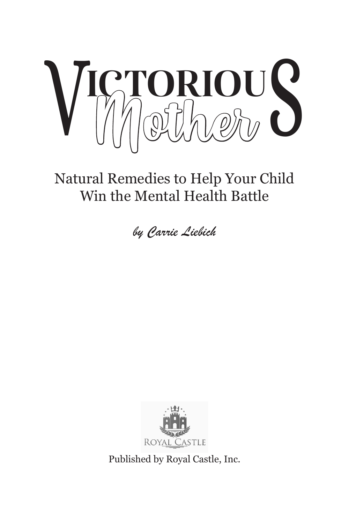

Natural Remedies to Help Your Child Win the Mental Health Battle

*by Carrie Liebich*



Published by Royal Castle, Inc.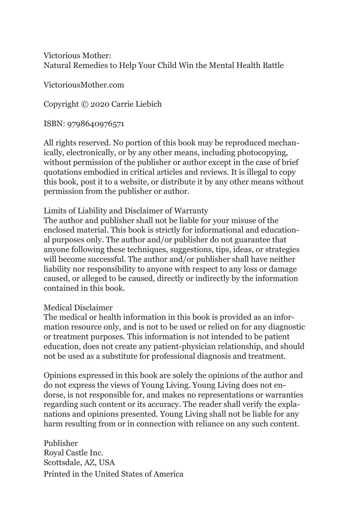#### Victorious Mother: Natural Remedies to Help Your Child Win the Mental Health Battle

VictoriousMother.com

Copyright © 2020 Carrie Liebich

ISBN: 9798640976571

All rights reserved. No portion of this book may be reproduced mechanically, electronically, or by any other means, including photocopying, without permission of the publisher or author except in the case of brief quotations embodied in critical articles and reviews. It is illegal to copy this book, post it to a website, or distribute it by any other means without permission from the publisher or author.

#### Limits of Liability and Disclaimer of Warranty

The author and publisher shall not be liable for your misuse of the enclosed material. This book is strictly for informational and educational purposes only. The author and/or publisher do not guarantee that anyone following these techniques, suggestions, tips, ideas, or strategies will become successful. The author and/or publisher shall have neither liability nor responsibility to anyone with respect to any loss or damage caused, or alleged to be caused, directly or indirectly by the information contained in this book.

#### Medical Disclaimer

The medical or health information in this book is provided as an information resource only, and is not to be used or relied on for any diagnostic or treatment purposes. This information is not intended to be patient education, does not create any patient-physician relationship, and should not be used as a substitute for professional diagnosis and treatment.

Opinions expressed in this book are solely the opinions of the author and do not express the views of Young Living. Young Living does not endorse, is not responsible for, and makes no representations or warranties regarding such content or its accuracy. The reader shall verify the explanations and opinions presented. Young Living shall not be liable for any harm resulting from or in connection with reliance on any such content.

Publisher Royal Castle Inc. Scottsdale, AZ, USA Printed in the United States of America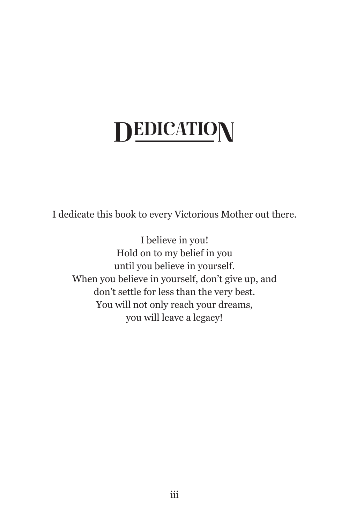## **DEDICATION**

I dedicate this book to every Victorious Mother out there.

I believe in you! Hold on to my belief in you until you believe in yourself. When you believe in yourself, don't give up, and don't settle for less than the very best. You will not only reach your dreams, you will leave a legacy!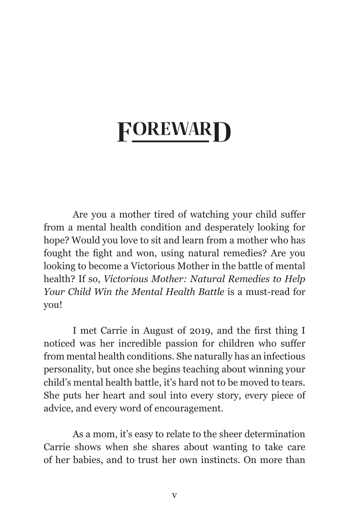### **FOREWARD**

Are you a mother tired of watching your child suffer from a mental health condition and desperately looking for hope? Would you love to sit and learn from a mother who has fought the fight and won, using natural remedies? Are you looking to become a Victorious Mother in the battle of mental health? If so, *Victorious Mother: Natural Remedies to Help Your Child Win the Mental Health Battle* is a must-read for you!

I met Carrie in August of 2019, and the first thing I noticed was her incredible passion for children who suffer from mental health conditions. She naturally has an infectious personality, but once she begins teaching about winning your child's mental health battle, it's hard not to be moved to tears. She puts her heart and soul into every story, every piece of advice, and every word of encouragement.

As a mom, it's easy to relate to the sheer determination Carrie shows when she shares about wanting to take care of her babies, and to trust her own instincts. On more than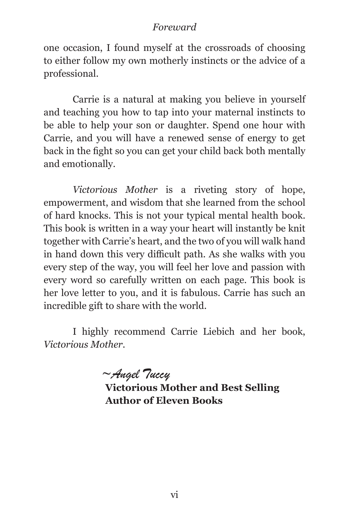#### *Foreward*

one occasion, I found myself at the crossroads of choosing to either follow my own motherly instincts or the advice of a professional.

Carrie is a natural at making you believe in yourself and teaching you how to tap into your maternal instincts to be able to help your son or daughter. Spend one hour with Carrie, and you will have a renewed sense of energy to get back in the fight so you can get your child back both mentally and emotionally.

*Victorious Mother* is a riveting story of hope, empowerment, and wisdom that she learned from the school of hard knocks. This is not your typical mental health book. This book is written in a way your heart will instantly be knit together with Carrie's heart, and the two of you will walk hand in hand down this very difficult path. As she walks with you every step of the way, you will feel her love and passion with every word so carefully written on each page. This book is her love letter to you, and it is fabulous. Carrie has such an incredible gift to share with the world.

I highly recommend Carrie Liebich and her book, *Victorious Mother*.

*~Angel Tuccy*

**Victorious Mother and Best Selling Author of Eleven Books**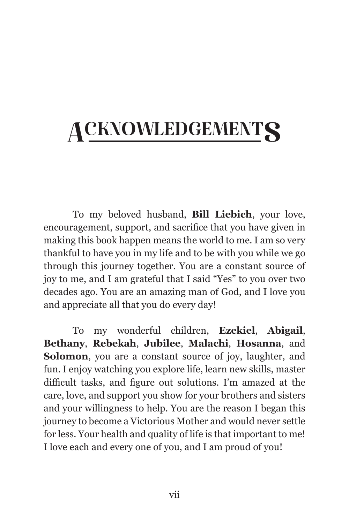## **ACKNOWLEDGEMENTS**

To my beloved husband, **Bill Liebich**, your love, encouragement, support, and sacrifice that you have given in making this book happen means the world to me. I am so very thankful to have you in my life and to be with you while we go through this journey together. You are a constant source of joy to me, and I am grateful that I said "Yes" to you over two decades ago. You are an amazing man of God, and I love you and appreciate all that you do every day!

To my wonderful children, **Ezekiel**, **Abigail**, **Bethany**, **Rebekah**, **Jubilee**, **Malachi**, **Hosanna**, and **Solomon**, you are a constant source of joy, laughter, and fun. I enjoy watching you explore life, learn new skills, master difficult tasks, and figure out solutions. I'm amazed at the care, love, and support you show for your brothers and sisters and your willingness to help. You are the reason I began this journey to become a Victorious Mother and would never settle for less. Your health and quality of life is that important to me! I love each and every one of you, and I am proud of you!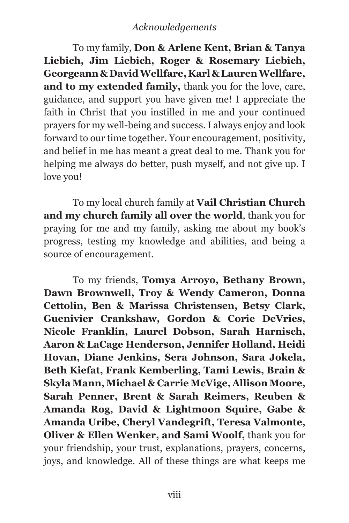#### *Acknowledgements*

To my family, **Don & Arlene Kent, Brian & Tanya Liebich, Jim Liebich, Roger & Rosemary Liebich, Georgeann & David Wellfare, Karl & Lauren Wellfare, and to my extended family,** thank you for the love, care, guidance, and support you have given me! I appreciate the faith in Christ that you instilled in me and your continued prayers for my well-being and success. I always enjoy and look forward to our time together. Your encouragement, positivity, and belief in me has meant a great deal to me. Thank you for helping me always do better, push myself, and not give up. I love you!

To my local church family at **Vail Christian Church and my church family all over the world**, thank you for praying for me and my family, asking me about my book's progress, testing my knowledge and abilities, and being a source of encouragement.

To my friends, **Tomya Arroyo, Bethany Brown, Dawn Brownwell, Troy & Wendy Cameron, Donna Cettolin, Ben & Marissa Christensen, Betsy Clark, Guenivier Crankshaw, Gordon & Corie DeVries, Nicole Franklin, Laurel Dobson, Sarah Harnisch, Aaron & LaCage Henderson, Jennifer Holland, Heidi Hovan, Diane Jenkins, Sera Johnson, Sara Jokela, Beth Kiefat, Frank Kemberling, Tami Lewis, Brain & Skyla Mann, Michael & Carrie McVige, Allison Moore, Sarah Penner, Brent & Sarah Reimers, Reuben & Amanda Rog, David & Lightmoon Squire, Gabe & Amanda Uribe, Cheryl Vandegrift, Teresa Valmonte, Oliver & Ellen Wenker, and Sami Woolf,** thank you for your friendship, your trust, explanations, prayers, concerns, joys, and knowledge. All of these things are what keeps me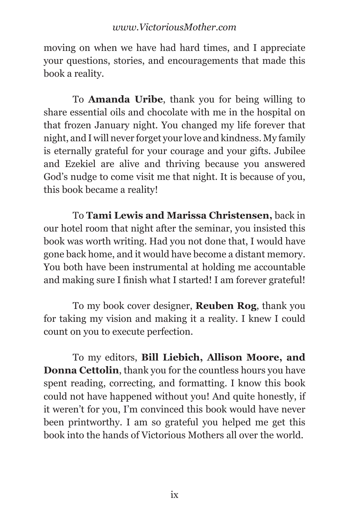moving on when we have had hard times, and I appreciate your questions, stories, and encouragements that made this book a reality.

To **Amanda Uribe**, thank you for being willing to share essential oils and chocolate with me in the hospital on that frozen January night. You changed my life forever that night, and I will never forget your love and kindness. My family is eternally grateful for your courage and your gifts. Jubilee and Ezekiel are alive and thriving because you answered God's nudge to come visit me that night. It is because of you, this book became a reality!

To **Tami Lewis and Marissa Christensen,** back in our hotel room that night after the seminar, you insisted this book was worth writing. Had you not done that, I would have gone back home, and it would have become a distant memory. You both have been instrumental at holding me accountable and making sure I finish what I started! I am forever grateful!

To my book cover designer, **Reuben Rog**, thank you for taking my vision and making it a reality. I knew I could count on you to execute perfection.

To my editors, **Bill Liebich, Allison Moore, and Donna Cettolin**, thank you for the countless hours you have spent reading, correcting, and formatting. I know this book could not have happened without you! And quite honestly, if it weren't for you, I'm convinced this book would have never been printworthy. I am so grateful you helped me get this book into the hands of Victorious Mothers all over the world.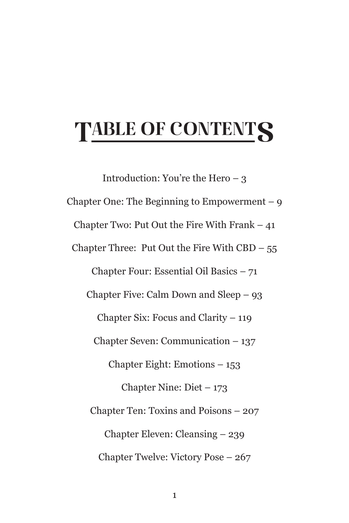## TABLE OF CONTENTS

Introduction: You're the Hero – 3 Chapter One: The Beginning to Empowerment  $-9$ Chapter Two: Put Out the Fire With Frank  $-41$ Chapter Three: Put Out the Fire With  $\text{CBD} - 55$ Chapter Four: Essential Oil Basics – 71 Chapter Five: Calm Down and Sleep – 93 Chapter Six: Focus and Clarity – 119 Chapter Seven: Communication – 137 Chapter Eight: Emotions – 153 Chapter Nine: Diet – 173 Chapter Ten: Toxins and Poisons – 207 Chapter Eleven: Cleansing – 239 Chapter Twelve: Victory Pose – 267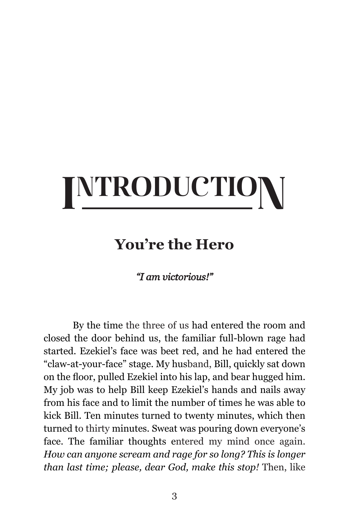## INTRODUCTION

#### **You're the Hero**

#### *"I am victorious!"*

By the time the three of us had entered the room and closed the door behind us, the familiar full-blown rage had started. Ezekiel's face was beet red, and he had entered the "claw-at-your-face" stage. My husband, Bill, quickly sat down on the floor, pulled Ezekiel into his lap, and bear hugged him. My job was to help Bill keep Ezekiel's hands and nails away from his face and to limit the number of times he was able to kick Bill. Ten minutes turned to twenty minutes, which then turned to thirty minutes. Sweat was pouring down everyone's face. The familiar thoughts entered my mind once again. *How can anyone scream and rage for so long? This is longer than last time; please, dear God, make this stop!* Then, like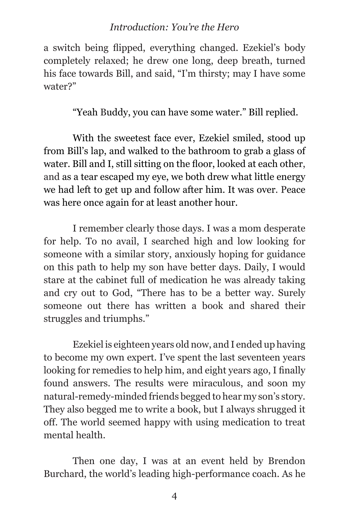#### *Introduction: You're the Hero*

a switch being flipped, everything changed. Ezekiel's body completely relaxed; he drew one long, deep breath, turned his face towards Bill, and said, "I'm thirsty; may I have some water?"

"Yeah Buddy, you can have some water." Bill replied.

With the sweetest face ever, Ezekiel smiled, stood up from Bill's lap, and walked to the bathroom to grab a glass of water. Bill and I, still sitting on the floor, looked at each other, and as a tear escaped my eye, we both drew what little energy we had left to get up and follow after him. It was over. Peace was here once again for at least another hour.

I remember clearly those days. I was a mom desperate for help. To no avail, I searched high and low looking for someone with a similar story, anxiously hoping for guidance on this path to help my son have better days. Daily, I would stare at the cabinet full of medication he was already taking and cry out to God, "There has to be a better way. Surely someone out there has written a book and shared their struggles and triumphs."

Ezekiel is eighteen years old now, and I ended up having to become my own expert. I've spent the last seventeen years looking for remedies to help him, and eight years ago, I finally found answers. The results were miraculous, and soon my natural-remedy-minded friends begged to hear my son's story. They also begged me to write a book, but I always shrugged it off. The world seemed happy with using medication to treat mental health.

Then one day, I was at an event held by Brendon Burchard, the world's leading high-performance coach. As he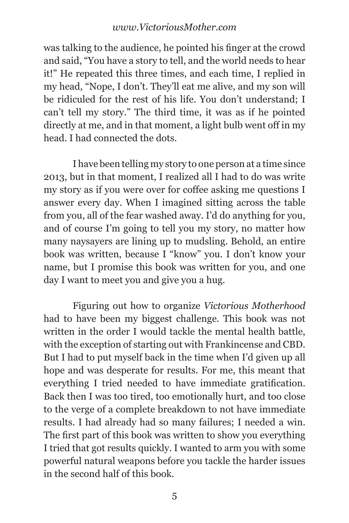was talking to the audience, he pointed his finger at the crowd and said, "You have a story to tell, and the world needs to hear it!" He repeated this three times, and each time, I replied in my head, "Nope, I don't. They'll eat me alive, and my son will be ridiculed for the rest of his life. You don't understand; I can't tell my story." The third time, it was as if he pointed directly at me, and in that moment, a light bulb went off in my head. I had connected the dots.

I have been telling my story to one person at a time since 2013, but in that moment, I realized all I had to do was write my story as if you were over for coffee asking me questions I answer every day. When I imagined sitting across the table from you, all of the fear washed away. I'd do anything for you, and of course I'm going to tell you my story, no matter how many naysayers are lining up to mudsling. Behold, an entire book was written, because I "know" you. I don't know your name, but I promise this book was written for you, and one day I want to meet you and give you a hug.

Figuring out how to organize *Victorious Motherhood* had to have been my biggest challenge. This book was not written in the order I would tackle the mental health battle, with the exception of starting out with Frankincense and CBD. But I had to put myself back in the time when I'd given up all hope and was desperate for results. For me, this meant that everything I tried needed to have immediate gratification. Back then I was too tired, too emotionally hurt, and too close to the verge of a complete breakdown to not have immediate results. I had already had so many failures; I needed a win. The first part of this book was written to show you everything I tried that got results quickly. I wanted to arm you with some powerful natural weapons before you tackle the harder issues in the second half of this book.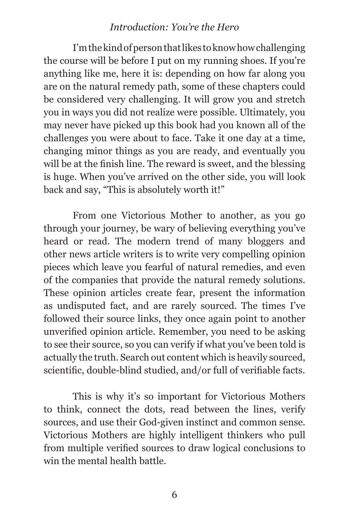#### *Introduction: You're the Hero*

I'm the kind of person that likes to know how challenging the course will be before I put on my running shoes. If you're anything like me, here it is: depending on how far along you are on the natural remedy path, some of these chapters could be considered very challenging. It will grow you and stretch you in ways you did not realize were possible. Ultimately, you may never have picked up this book had you known all of the challenges you were about to face. Take it one day at a time, changing minor things as you are ready, and eventually you will be at the finish line. The reward is sweet, and the blessing is huge. When you've arrived on the other side, you will look back and say, "This is absolutely worth it!"

From one Victorious Mother to another, as you go through your journey, be wary of believing everything you've heard or read. The modern trend of many bloggers and other news article writers is to write very compelling opinion pieces which leave you fearful of natural remedies, and even of the companies that provide the natural remedy solutions. These opinion articles create fear, present the information as undisputed fact, and are rarely sourced. The times I've followed their source links, they once again point to another unverified opinion article. Remember, you need to be asking to see their source, so you can verify if what you've been told is actually the truth. Search out content which is heavily sourced, scientific, double-blind studied, and/or full of verifiable facts.

This is why it's so important for Victorious Mothers to think, connect the dots, read between the lines, verify sources, and use their God-given instinct and common sense. Victorious Mothers are highly intelligent thinkers who pull from multiple verified sources to draw logical conclusions to win the mental health battle.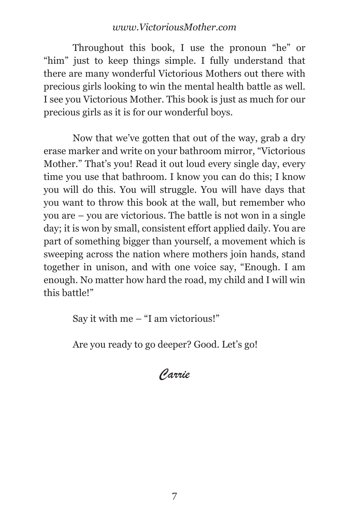Throughout this book, I use the pronoun "he" or "him" just to keep things simple. I fully understand that there are many wonderful Victorious Mothers out there with precious girls looking to win the mental health battle as well. I see you Victorious Mother. This book is just as much for our precious girls as it is for our wonderful boys.

Now that we've gotten that out of the way, grab a dry erase marker and write on your bathroom mirror, "Victorious Mother." That's you! Read it out loud every single day, every time you use that bathroom. I know you can do this; I know you will do this. You will struggle. You will have days that you want to throw this book at the wall, but remember who you are – you are victorious. The battle is not won in a single day; it is won by small, consistent effort applied daily. You are part of something bigger than yourself, a movement which is sweeping across the nation where mothers join hands, stand together in unison, and with one voice say, "Enough. I am enough. No matter how hard the road, my child and I will win this battle!"

Say it with me – "I am victorious!"

Are you ready to go deeper? Good. Let's go!

*Carrie*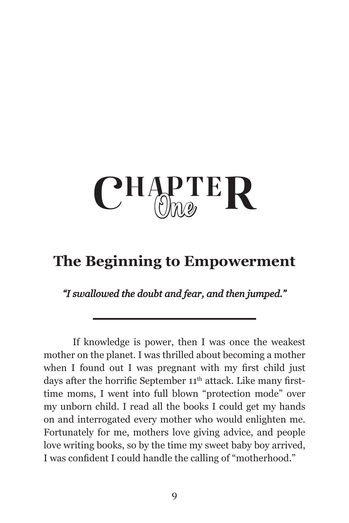# $CHAPTER$

#### **The Beginning to Empowerment**

*"I swallowed the doubt and fear, and then jumped."*

If knowledge is power, then I was once the weakest mother on the planet. I was thrilled about becoming a mother when I found out I was pregnant with my first child just days after the horrific September 11<sup>th</sup> attack. Like many firsttime moms, I went into full blown "protection mode" over my unborn child. I read all the books I could get my hands on and interrogated every mother who would enlighten me. Fortunately for me, mothers love giving advice, and people love writing books, so by the time my sweet baby boy arrived, I was confident I could handle the calling of "motherhood."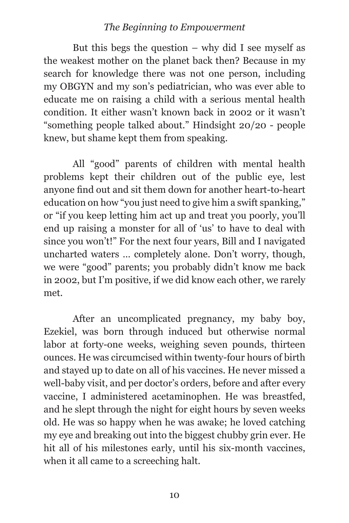#### *The Beginning to Empowerment*

But this begs the question  $-$  why did I see myself as the weakest mother on the planet back then? Because in my search for knowledge there was not one person, including my OBGYN and my son's pediatrician, who was ever able to educate me on raising a child with a serious mental health condition. It either wasn't known back in 2002 or it wasn't "something people talked about." Hindsight 20/20 - people knew, but shame kept them from speaking.

All "good" parents of children with mental health problems kept their children out of the public eye, lest anyone find out and sit them down for another heart-to-heart education on how "you just need to give him a swift spanking," or "if you keep letting him act up and treat you poorly, you'll end up raising a monster for all of 'us' to have to deal with since you won't!" For the next four years, Bill and I navigated uncharted waters … completely alone. Don't worry, though, we were "good" parents; you probably didn't know me back in 2002, but I'm positive, if we did know each other, we rarely met.

After an uncomplicated pregnancy, my baby boy, Ezekiel, was born through induced but otherwise normal labor at forty-one weeks, weighing seven pounds, thirteen ounces. He was circumcised within twenty-four hours of birth and stayed up to date on all of his vaccines. He never missed a well-baby visit, and per doctor's orders, before and after every vaccine, I administered acetaminophen. He was breastfed, and he slept through the night for eight hours by seven weeks old. He was so happy when he was awake; he loved catching my eye and breaking out into the biggest chubby grin ever. He hit all of his milestones early, until his six-month vaccines, when it all came to a screeching halt.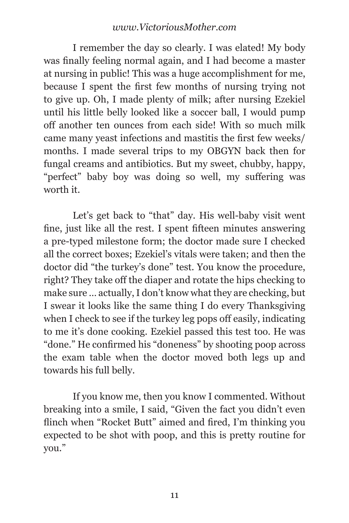I remember the day so clearly. I was elated! My body was finally feeling normal again, and I had become a master at nursing in public! This was a huge accomplishment for me, because I spent the first few months of nursing trying not to give up. Oh, I made plenty of milk; after nursing Ezekiel until his little belly looked like a soccer ball, I would pump off another ten ounces from each side! With so much milk came many yeast infections and mastitis the first few weeks/ months. I made several trips to my OBGYN back then for fungal creams and antibiotics. But my sweet, chubby, happy, "perfect" baby boy was doing so well, my suffering was worth it.

Let's get back to "that" day. His well-baby visit went fine, just like all the rest. I spent fifteen minutes answering a pre-typed milestone form; the doctor made sure I checked all the correct boxes; Ezekiel's vitals were taken; and then the doctor did "the turkey's done" test. You know the procedure, right? They take off the diaper and rotate the hips checking to make sure … actually, I don't know what they are checking, but I swear it looks like the same thing I do every Thanksgiving when I check to see if the turkey leg pops off easily, indicating to me it's done cooking. Ezekiel passed this test too. He was "done." He confirmed his "doneness" by shooting poop across the exam table when the doctor moved both legs up and towards his full belly.

If you know me, then you know I commented. Without breaking into a smile, I said, "Given the fact you didn't even flinch when "Rocket Butt" aimed and fired, I'm thinking you expected to be shot with poop, and this is pretty routine for you."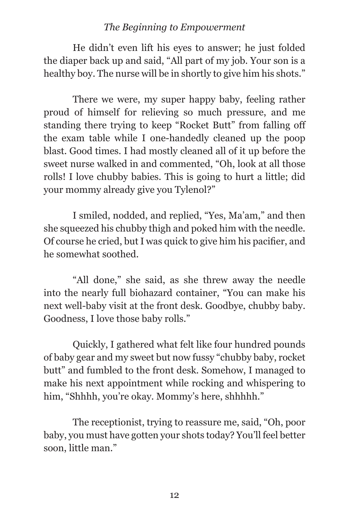#### *The Beginning to Empowerment*

He didn't even lift his eyes to answer; he just folded the diaper back up and said, "All part of my job. Your son is a healthy boy. The nurse will be in shortly to give him his shots."

There we were, my super happy baby, feeling rather proud of himself for relieving so much pressure, and me standing there trying to keep "Rocket Butt" from falling off the exam table while I one-handedly cleaned up the poop blast. Good times. I had mostly cleaned all of it up before the sweet nurse walked in and commented, "Oh, look at all those rolls! I love chubby babies. This is going to hurt a little; did your mommy already give you Tylenol?"

I smiled, nodded, and replied, "Yes, Ma'am," and then she squeezed his chubby thigh and poked him with the needle. Of course he cried, but I was quick to give him his pacifier, and he somewhat soothed.

"All done," she said, as she threw away the needle into the nearly full biohazard container, "You can make his next well-baby visit at the front desk. Goodbye, chubby baby. Goodness, I love those baby rolls."

Quickly, I gathered what felt like four hundred pounds of baby gear and my sweet but now fussy "chubby baby, rocket butt" and fumbled to the front desk. Somehow, I managed to make his next appointment while rocking and whispering to him, "Shhhh, you're okay. Mommy's here, shhhhh."

The receptionist, trying to reassure me, said, "Oh, poor baby, you must have gotten your shots today? You'll feel better soon, little man."